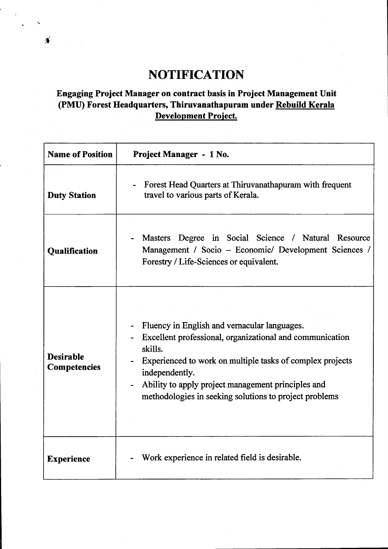## **NOTIFICATION**

## **Engaging Project Manager on contract basis in Project Management Unit (PMU) Forest Headquarters, Thiruvanathapuram under Rebuild Kerala Development Project.**

| <b>Name of Position</b>                 | Project Manager - 1 No.                                                                                                                                                                                                                                                                                            |
|-----------------------------------------|--------------------------------------------------------------------------------------------------------------------------------------------------------------------------------------------------------------------------------------------------------------------------------------------------------------------|
| <b>Duty Station</b>                     | Forest Head Quarters at Thiruvanathapuram with frequent<br>travel to various parts of Kerala.                                                                                                                                                                                                                      |
| <b>Qualification</b>                    | Masters Degree in Social Science / Natural Resource<br>Management / Socio – Economic/ Development Sciences /<br>Forestry / Life-Sciences or equivalent.                                                                                                                                                            |
| <b>Desirable</b><br><b>Competencies</b> | Fluency in English and vernacular languages.<br>Excellent professional, organizational and communication<br>skills.<br>Experienced to work on multiple tasks of complex projects<br>independently.<br>Ability to apply project management principles and<br>methodologies in seeking solutions to project problems |
| <b>Experience</b>                       | Work experience in related field is desirable.                                                                                                                                                                                                                                                                     |

 $\bullet$